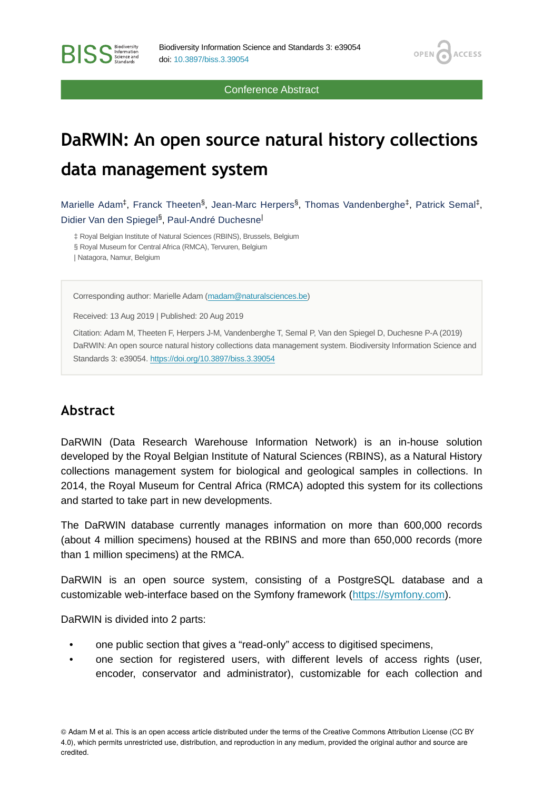Conference Abstract

**OPEN** 

**ACCESS** 

# **DaRWIN: An open source natural history collections data management system**

Marielle Adam<sup>‡</sup>, Franck Theeten<sup>§</sup>, Jean-Marc Herpers<sup>§</sup>, Thomas Vandenberghe<sup>‡</sup>, Patrick Semal<sup>‡</sup>, Didier Van den Spiegel<sup>§</sup>, Paul-André Duchesne<sup>|</sup>

‡ Royal Belgian Institute of Natural Sciences (RBINS), Brussels, Belgium § Royal Museum for Central Africa (RMCA), Tervuren, Belgium | Natagora, Namur, Belgium

Corresponding author: Marielle Adam ([madam@naturalsciences.be\)](mailto:madam@naturalsciences.be)

Received: 13 Aug 2019 | Published: 20 Aug 2019

Citation: Adam M, Theeten F, Herpers J-M, Vandenberghe T, Semal P, Van den Spiegel D, Duchesne P-A (2019) DaRWIN: An open source natural history collections data management system. Biodiversity Information Science and Standards 3: e39054.<https://doi.org/10.3897/biss.3.39054>

#### **Abstract**

DaRWIN (Data Research Warehouse Information Network) is an in-house solution developed by the Royal Belgian Institute of Natural Sciences (RBINS), as a Natural History collections management system for biological and geological samples in collections. In 2014, the Royal Museum for Central Africa (RMCA) adopted this system for its collections and started to take part in new developments.

The DaRWIN database currently manages information on more than 600,000 records (about 4 million specimens) housed at the RBINS and more than 650,000 records (more than 1 million specimens) at the RMCA.

DaRWIN is an open source system, consisting of a PostgreSQL database and a customizable web-interface based on the Symfony framework ([https://symfony.com\)](https://symfony.com).

DaRWIN is divided into 2 parts:

- one public section that gives a "read-only" access to digitised specimens,
- one section for registered users, with different levels of access rights (user, encoder, conservator and administrator), customizable for each collection and

© Adam M et al. This is an open access article distributed under the terms of the Creative Commons Attribution License (CC BY 4.0), which permits unrestricted use, distribution, and reproduction in any medium, provided the original author and source are credited.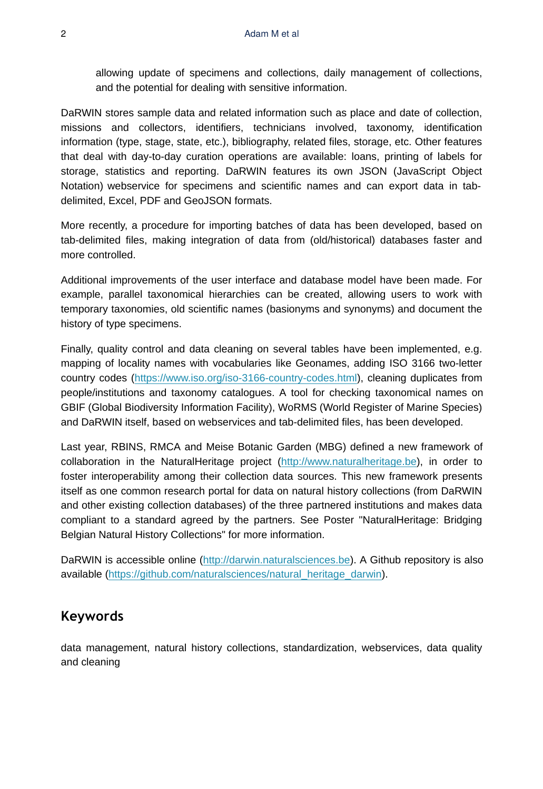allowing update of specimens and collections, daily management of collections, and the potential for dealing with sensitive information.

DaRWIN stores sample data and related information such as place and date of collection, missions and collectors, identifiers, technicians involved, taxonomy, identification information (type, stage, state, etc.), bibliography, related files, storage, etc. Other features that deal with day-to-day curation operations are available: loans, printing of labels for storage, statistics and reporting. DaRWIN features its own JSON (JavaScript Object Notation) webservice for specimens and scientific names and can export data in tabdelimited, Excel, PDF and GeoJSON formats.

More recently, a procedure for importing batches of data has been developed, based on tab-delimited files, making integration of data from (old/historical) databases faster and more controlled.

Additional improvements of the user interface and database model have been made. For example, parallel taxonomical hierarchies can be created, allowing users to work with temporary taxonomies, old scientific names (basionyms and synonyms) and document the history of type specimens.

Finally, quality control and data cleaning on several tables have been implemented, e.g. mapping of locality names with vocabularies like Geonames, adding ISO 3166 two-letter country codes (<https://www.iso.org/iso-3166-country-codes.html>), cleaning duplicates from people/institutions and taxonomy catalogues. A tool for checking taxonomical names on GBIF (Global Biodiversity Information Facility), WoRMS (World Register of Marine Species) and DaRWIN itself, based on webservices and tab-delimited files, has been developed.

Last year, RBINS, RMCA and Meise Botanic Garden (MBG) defined a new framework of collaboration in the NaturalHeritage project ([http://www.naturalheritage.be\)](http://www.naturalheritage.be), in order to foster interoperability among their collection data sources. This new framework presents itself as one common research portal for data on natural history collections (from DaRWIN and other existing collection databases) of the three partnered institutions and makes data compliant to a standard agreed by the partners. See Poster "NaturalHeritage: Bridging Belgian Natural History Collections" for more information.

DaRWIN is accessible online ([http://darwin.naturalsciences.be](http://darwin.naturalsciences.be/)). A Github repository is also available [\(https://github.com/naturalsciences/natural\\_heritage\\_darwin\)](https://github.com/naturalsciences/natural_heritage_darwin).

#### **Keywords**

data management, natural history collections, standardization, webservices, data quality and cleaning